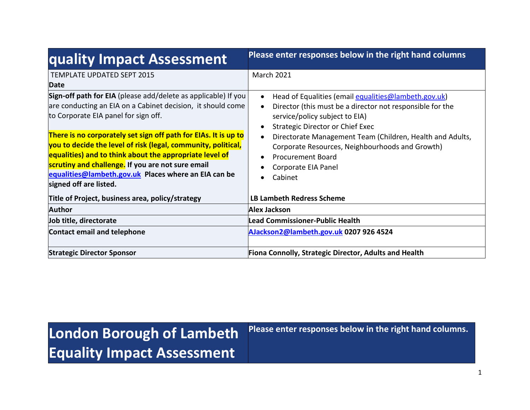| quality Impact Assessment                                                                                                                                                                                                                                                                                                                                                                                                                                                                                   | Please enter responses below in the right hand columns                                                                                                                                                                                                                                                                                                                             |  |
|-------------------------------------------------------------------------------------------------------------------------------------------------------------------------------------------------------------------------------------------------------------------------------------------------------------------------------------------------------------------------------------------------------------------------------------------------------------------------------------------------------------|------------------------------------------------------------------------------------------------------------------------------------------------------------------------------------------------------------------------------------------------------------------------------------------------------------------------------------------------------------------------------------|--|
| <b>TEMPLATE UPDATED SEPT 2015</b><br><b>Date</b>                                                                                                                                                                                                                                                                                                                                                                                                                                                            | <b>March 2021</b>                                                                                                                                                                                                                                                                                                                                                                  |  |
| Sign-off path for EIA (please add/delete as applicable) If you<br>are conducting an EIA on a Cabinet decision, it should come<br>to Corporate EIA panel for sign off.<br>There is no corporately set sign off path for EIAs. It is up to<br>you to decide the level of risk (legal, community, political,<br>equalities) and to think about the appropriate level of<br>scrutiny and challenge. If you are not sure email<br>equalities@lambeth.gov.uk Places where an EIA can be<br>signed off are listed. | Head of Equalities (email equalities@lambeth.gov.uk)<br>$\bullet$<br>Director (this must be a director not responsible for the<br>service/policy subject to EIA)<br>Strategic Director or Chief Exec<br>Directorate Management Team (Children, Health and Adults,<br>Corporate Resources, Neighbourhoods and Growth)<br><b>Procurement Board</b><br>Corporate EIA Panel<br>Cabinet |  |
| Title of Project, business area, policy/strategy                                                                                                                                                                                                                                                                                                                                                                                                                                                            | <b>LB Lambeth Redress Scheme</b>                                                                                                                                                                                                                                                                                                                                                   |  |
| <b>Author</b>                                                                                                                                                                                                                                                                                                                                                                                                                                                                                               | Alex Jackson                                                                                                                                                                                                                                                                                                                                                                       |  |
| Job title, directorate                                                                                                                                                                                                                                                                                                                                                                                                                                                                                      | <b>Lead Commissioner-Public Health</b>                                                                                                                                                                                                                                                                                                                                             |  |
| Contact email and telephone                                                                                                                                                                                                                                                                                                                                                                                                                                                                                 | AJackson2@lambeth.gov.uk 0207 926 4524                                                                                                                                                                                                                                                                                                                                             |  |
| <b>Strategic Director Sponsor</b>                                                                                                                                                                                                                                                                                                                                                                                                                                                                           | <b>Fiona Connolly, Strategic Director, Adults and Health</b>                                                                                                                                                                                                                                                                                                                       |  |

# **London Borough of Lambeth Equality Impact Assessment**

**Please enter responses below in the right hand columns.**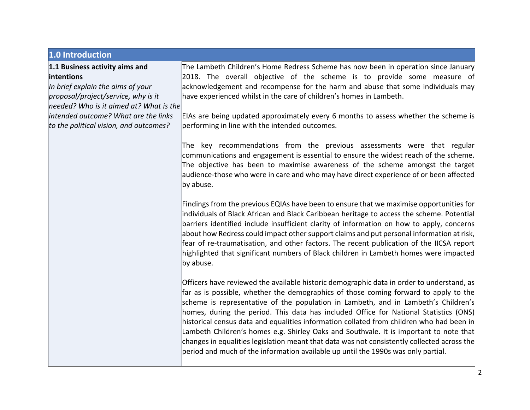| 1.0 Introduction                                                               |                                                                                                                                                                                                                                                                                                                                                                                                                                                                                                                                                                                                                                                                                                                                            |
|--------------------------------------------------------------------------------|--------------------------------------------------------------------------------------------------------------------------------------------------------------------------------------------------------------------------------------------------------------------------------------------------------------------------------------------------------------------------------------------------------------------------------------------------------------------------------------------------------------------------------------------------------------------------------------------------------------------------------------------------------------------------------------------------------------------------------------------|
| 1.1 Business activity aims and                                                 | The Lambeth Children's Home Redress Scheme has now been in operation since January                                                                                                                                                                                                                                                                                                                                                                                                                                                                                                                                                                                                                                                         |
| intentions                                                                     | 2018. The overall objective of the scheme is to provide some measure of                                                                                                                                                                                                                                                                                                                                                                                                                                                                                                                                                                                                                                                                    |
| In brief explain the aims of your                                              | acknowledgement and recompense for the harm and abuse that some individuals may                                                                                                                                                                                                                                                                                                                                                                                                                                                                                                                                                                                                                                                            |
| proposal/project/service, why is it                                            | have experienced whilst in the care of children's homes in Lambeth.                                                                                                                                                                                                                                                                                                                                                                                                                                                                                                                                                                                                                                                                        |
| needed? Who is it aimed at? What is the                                        |                                                                                                                                                                                                                                                                                                                                                                                                                                                                                                                                                                                                                                                                                                                                            |
| intended outcome? What are the links<br>to the political vision, and outcomes? | EIAs are being updated approximately every 6 months to assess whether the scheme is<br>performing in line with the intended outcomes.                                                                                                                                                                                                                                                                                                                                                                                                                                                                                                                                                                                                      |
|                                                                                | The key recommendations from the previous assessments were that regular<br>communications and engagement is essential to ensure the widest reach of the scheme.<br>The objective has been to maximise awareness of the scheme amongst the target<br>audience-those who were in care and who may have direct experience of or been affected<br>by abuse.                                                                                                                                                                                                                                                                                                                                                                                    |
|                                                                                | Findings from the previous EQIAs have been to ensure that we maximise opportunities for<br>individuals of Black African and Black Caribbean heritage to access the scheme. Potential<br>barriers identified include insufficient clarity of information on how to apply, concerns<br>about how Redress could impact other support claims and put personal information at risk,<br>fear of re-traumatisation, and other factors. The recent publication of the IICSA report<br>highlighted that significant numbers of Black children in Lambeth homes were impacted<br>by abuse.                                                                                                                                                           |
|                                                                                | Officers have reviewed the available historic demographic data in order to understand, as<br>far as is possible, whether the demographics of those coming forward to apply to the<br>scheme is representative of the population in Lambeth, and in Lambeth's Children's<br>homes, during the period. This data has included Office for National Statistics (ONS)<br>historical census data and equalities information collated from children who had been in<br>Lambeth Children's homes e.g. Shirley Oaks and Southvale. It is important to note that<br>changes in equalities legislation meant that data was not consistently collected across the<br>period and much of the information available up until the 1990s was only partial. |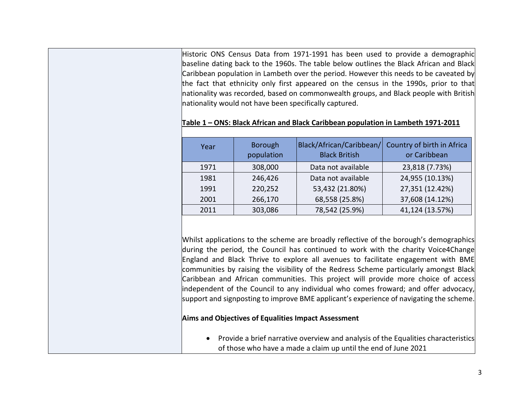Historic ONS Census Data from 1971-1991 has been used to provide a demographic baseline dating back to the 1960s. The table below outlines the Black African and Black Caribbean population in Lambeth over the period. However this needs to be caveated by the fact that ethnicity only first appeared on the census in the 1990s, prior to that nationality was recorded, based on commonwealth groups, and Black people with British nationality would not have been specifically captured.

| Year | Borough<br>population | Black/African/Caribbean/<br><b>Black British</b> | Country of birth in Africa<br>or Caribbean |
|------|-----------------------|--------------------------------------------------|--------------------------------------------|
| 1971 | 308,000               | Data not available                               | 23,818 (7.73%)                             |
| 1981 | 246,426               | Data not available                               | 24,955 (10.13%)                            |
| 1991 | 220,252               | 53,432 (21.80%)                                  | 27,351 (12.42%)                            |
| 2001 | 266,170               | 68,558 (25.8%)                                   | 37,608 (14.12%)                            |
| 2011 | 303,086               | 78,542 (25.9%)                                   | 41,124 (13.57%)                            |

**Table 1 – ONS: Black African and Black Caribbean population in Lambeth 1971-2011**

Whilst applications to the scheme are broadly reflective of the borough's demographics during the period, the Council has continued to work with the charity Voice4Change England and Black Thrive to explore all avenues to facilitate engagement with BME communities by raising the visibility of the Redress Scheme particularly amongst Black Caribbean and African communities. This project will provide more choice of access independent of the Council to any individual who comes froward; and offer advocacy, support and signposting to improve BME applicant's experience of navigating the scheme.

### **Aims and Objectives of Equalities Impact Assessment**

• Provide a brief narrative overview and analysis of the Equalities characteristics of those who have a made a claim up until the end of June 2021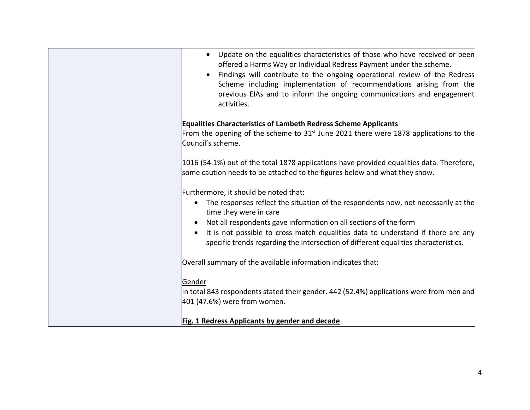| Update on the equalities characteristics of those who have received or been<br>offered a Harms Way or Individual Redress Payment under the scheme.<br>Findings will contribute to the ongoing operational review of the Redress<br>Scheme including implementation of recommendations arising from the<br>previous EIAs and to inform the ongoing communications and engagement<br>activities. |
|------------------------------------------------------------------------------------------------------------------------------------------------------------------------------------------------------------------------------------------------------------------------------------------------------------------------------------------------------------------------------------------------|
|                                                                                                                                                                                                                                                                                                                                                                                                |
| <b>Equalities Characteristics of Lambeth Redress Scheme Applicants</b>                                                                                                                                                                                                                                                                                                                         |
| From the opening of the scheme to 31 <sup>st</sup> June 2021 there were 1878 applications to the<br>Council's scheme.                                                                                                                                                                                                                                                                          |
| 1016 (54.1%) out of the total 1878 applications have provided equalities data. Therefore,                                                                                                                                                                                                                                                                                                      |
| some caution needs to be attached to the figures below and what they show.                                                                                                                                                                                                                                                                                                                     |
|                                                                                                                                                                                                                                                                                                                                                                                                |
| Furthermore, it should be noted that:                                                                                                                                                                                                                                                                                                                                                          |
| The responses reflect the situation of the respondents now, not necessarily at the<br>$\bullet$<br>time they were in care                                                                                                                                                                                                                                                                      |
| Not all respondents gave information on all sections of the form                                                                                                                                                                                                                                                                                                                               |
| It is not possible to cross match equalities data to understand if there are any<br>specific trends regarding the intersection of different equalities characteristics.                                                                                                                                                                                                                        |
| Overall summary of the available information indicates that:                                                                                                                                                                                                                                                                                                                                   |
| Gender                                                                                                                                                                                                                                                                                                                                                                                         |
| In total 843 respondents stated their gender. 442 (52.4%) applications were from men and                                                                                                                                                                                                                                                                                                       |
| 401 (47.6%) were from women.                                                                                                                                                                                                                                                                                                                                                                   |
| Fig. 1 Redress Applicants by gender and decade                                                                                                                                                                                                                                                                                                                                                 |
|                                                                                                                                                                                                                                                                                                                                                                                                |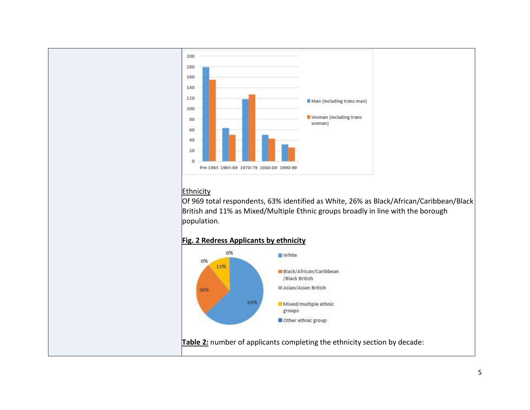

# **Ethnicity**

Of 969 total respondents, 63% identified as White, 26% as Black/African/Caribbean/Black British and 11% as Mixed/Multiple Ethnic groups broadly in line with the borough population.

# **Fig. 2 Redress Applicants by ethnicity**

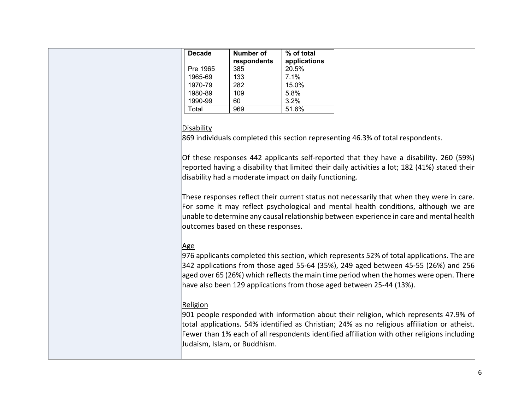| <b>Decade</b> | <b>Number of</b><br>respondents | $\sqrt{\frac{2}{10}}$ of total<br>applications |
|---------------|---------------------------------|------------------------------------------------|
| Pre 1965      | 385                             | 20.5%                                          |
| 1965-69       | 133                             | 7.1%                                           |
| 1970-79       | 282                             | 15.0%                                          |
| 1980-89       | 109                             | 5.8%                                           |
| 1990-99       | 60                              | 3.2%                                           |
| Total         | 969                             | 51.6%                                          |

### **Disability**

869 individuals completed this section representing 46.3% of total respondents.

Of these responses 442 applicants self-reported that they have a disability. 260 (59%) reported having a disability that limited their daily activities a lot; 182 (41%) stated their disability had a moderate impact on daily functioning.

These responses reflect their current status not necessarily that when they were in care. For some it may reflect psychological and mental health conditions, although we are unable to determine any causal relationship between experience in care and mental health outcomes based on these responses.

# Age

976 applicants completed this section, which represents 52% of total applications. The are 342 applications from those aged 55-64 (35%), 249 aged between 45-55 (26%) and 256 aged over 65 (26%) which reflects the main time period when the homes were open. There have also been 129 applications from those aged between 25-44 (13%).

## Religion

901 people responded with information about their religion, which represents 47.9% of total applications. 54% identified as Christian; 24% as no religious affiliation or atheist. Fewer than 1% each of all respondents identified affiliation with other religions including Judaism, Islam, or Buddhism.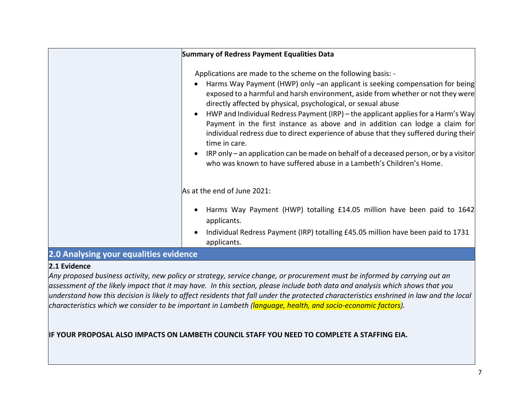|                                        | <b>Summary of Redress Payment Equalities Data</b>                                                                                                                                                                                                                                                                                                                                                                                                                                                                                                                                                                                                                                                                                                |
|----------------------------------------|--------------------------------------------------------------------------------------------------------------------------------------------------------------------------------------------------------------------------------------------------------------------------------------------------------------------------------------------------------------------------------------------------------------------------------------------------------------------------------------------------------------------------------------------------------------------------------------------------------------------------------------------------------------------------------------------------------------------------------------------------|
|                                        | Applications are made to the scheme on the following basis: -<br>Harms Way Payment (HWP) only –an applicant is seeking compensation for being<br>exposed to a harmful and harsh environment, aside from whether or not they were<br>directly affected by physical, psychological, or sexual abuse<br>HWP and Individual Redress Payment (IRP) – the applicant applies for a Harm's Way<br>Payment in the first instance as above and in addition can lodge a claim for<br>individual redress due to direct experience of abuse that they suffered during their<br>time in care.<br>IRP only - an application can be made on behalf of a deceased person, or by a visitor<br>who was known to have suffered abuse in a Lambeth's Children's Home. |
|                                        | As at the end of June 2021:                                                                                                                                                                                                                                                                                                                                                                                                                                                                                                                                                                                                                                                                                                                      |
|                                        | Harms Way Payment (HWP) totalling £14.05 million have been paid to 1642<br>applicants.<br>Individual Redress Payment (IRP) totalling £45.05 million have been paid to 1731<br>applicants.                                                                                                                                                                                                                                                                                                                                                                                                                                                                                                                                                        |
| 2.0 Analysing your equalities evidence |                                                                                                                                                                                                                                                                                                                                                                                                                                                                                                                                                                                                                                                                                                                                                  |

### **2.1 Evidence**

*Any proposed business activity, new policy or strategy, service change, or procurement must be informed by carrying out an assessment of the likely impact that it may have. In this section, please include both data and analysis which shows that you understand how this decision is likely to affect residents that fall under the protected characteristics enshrined in law and the local characteristics which we consider to be important in Lambeth (language, health, and socio-economic factors).* 

# **IF YOUR PROPOSAL ALSO IMPACTS ON LAMBETH COUNCIL STAFF YOU NEED TO COMPLETE A STAFFING EIA.**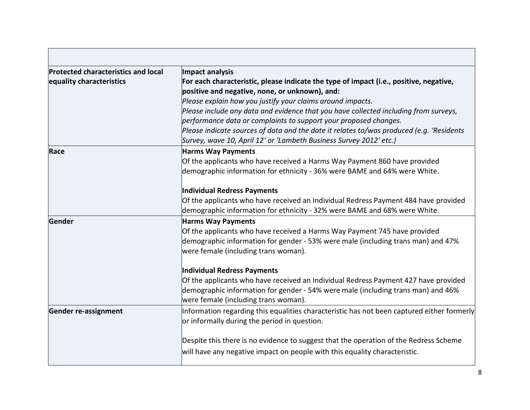| <b>Protected characteristics and local</b> | Impact analysis                                                                            |  |  |
|--------------------------------------------|--------------------------------------------------------------------------------------------|--|--|
| equality characteristics                   | For each characteristic, please indicate the type of impact (i.e., positive, negative,     |  |  |
|                                            | positive and negative, none, or unknown), and:                                             |  |  |
|                                            | Please explain how you justify your claims around impacts.                                 |  |  |
|                                            | Please include any data and evidence that you have collected including from surveys,       |  |  |
|                                            | performance data or complaints to support your proposed changes.                           |  |  |
|                                            | Please indicate sources of data and the date it relates to/was produced (e.g. 'Residents   |  |  |
|                                            | Survey, wave 10, April 12' or 'Lambeth Business Survey 2012' etc.)                         |  |  |
| Race                                       | <b>Harms Way Payments</b>                                                                  |  |  |
|                                            | Of the applicants who have received a Harms Way Payment 860 have provided                  |  |  |
|                                            | demographic information for ethnicity - 36% were BAME and 64% were White.                  |  |  |
|                                            | Individual Redress Payments                                                                |  |  |
|                                            | Of the applicants who have received an Individual Redress Payment 484 have provided        |  |  |
|                                            | demographic information for ethnicity - 32% were BAME and 68% were White.                  |  |  |
| <b>Gender</b>                              | <b>Harms Way Payments</b>                                                                  |  |  |
|                                            | Of the applicants who have received a Harms Way Payment 745 have provided                  |  |  |
|                                            | demographic information for gender - 53% were male (including trans man) and 47%           |  |  |
|                                            | were female (including trans woman).                                                       |  |  |
|                                            | Individual Redress Payments                                                                |  |  |
|                                            | Of the applicants who have received an Individual Redress Payment 427 have provided        |  |  |
|                                            | demographic information for gender - 54% were male (including trans man) and 46%           |  |  |
|                                            | were female (including trans woman).                                                       |  |  |
| <b>Gender re-assignment</b>                | Information regarding this equalities characteristic has not been captured either formerly |  |  |
|                                            | or informally during the period in question.                                               |  |  |
|                                            | Despite this there is no evidence to suggest that the operation of the Redress Scheme      |  |  |
|                                            | will have any negative impact on people with this equality characteristic.                 |  |  |

г

÷,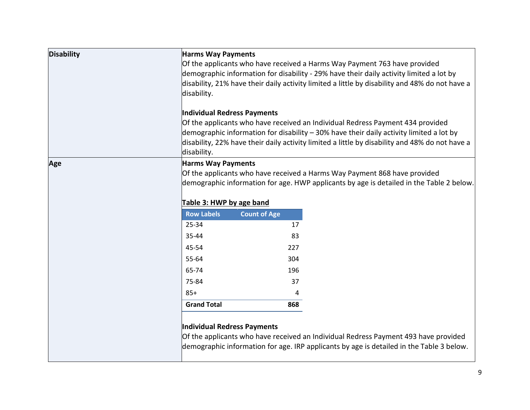| <b>Disability</b> | <b>Harms Way Payments</b><br>disability.<br>Individual Redress Payments<br>disability. | Of the applicants who have received a Harms Way Payment 763 have provided<br>demographic information for disability - 29% have their daily activity limited a lot by<br>disability, 21% have their daily activity limited a little by disability and 48% do not have a<br>Of the applicants who have received an Individual Redress Payment 434 provided<br>demographic information for disability - 30% have their daily activity limited a lot by<br>disability, 22% have their daily activity limited a little by disability and 48% do not have a |  |
|-------------------|----------------------------------------------------------------------------------------|-------------------------------------------------------------------------------------------------------------------------------------------------------------------------------------------------------------------------------------------------------------------------------------------------------------------------------------------------------------------------------------------------------------------------------------------------------------------------------------------------------------------------------------------------------|--|
| Age               |                                                                                        | <b>Harms Way Payments</b><br>Of the applicants who have received a Harms Way Payment 868 have provided<br>demographic information for age. HWP applicants by age is detailed in the Table 2 below.                                                                                                                                                                                                                                                                                                                                                    |  |
|                   | Table 3: HWP by age band                                                               |                                                                                                                                                                                                                                                                                                                                                                                                                                                                                                                                                       |  |
|                   | <b>Row Labels</b>                                                                      | <b>Count of Age</b>                                                                                                                                                                                                                                                                                                                                                                                                                                                                                                                                   |  |
|                   | 25-34                                                                                  | 17                                                                                                                                                                                                                                                                                                                                                                                                                                                                                                                                                    |  |
|                   | 35-44                                                                                  | 83                                                                                                                                                                                                                                                                                                                                                                                                                                                                                                                                                    |  |
|                   | 45-54                                                                                  | 227                                                                                                                                                                                                                                                                                                                                                                                                                                                                                                                                                   |  |
|                   | 55-64                                                                                  | 304                                                                                                                                                                                                                                                                                                                                                                                                                                                                                                                                                   |  |
|                   | 65-74                                                                                  | 196                                                                                                                                                                                                                                                                                                                                                                                                                                                                                                                                                   |  |
|                   | 75-84                                                                                  | 37                                                                                                                                                                                                                                                                                                                                                                                                                                                                                                                                                    |  |
|                   | $85+$                                                                                  | 4                                                                                                                                                                                                                                                                                                                                                                                                                                                                                                                                                     |  |
|                   | <b>Grand Total</b>                                                                     | 868                                                                                                                                                                                                                                                                                                                                                                                                                                                                                                                                                   |  |
|                   | Individual Redress Payments                                                            | Of the applicants who have received an Individual Redress Payment 493 have provided<br>demographic information for age. IRP applicants by age is detailed in the Table 3 below.                                                                                                                                                                                                                                                                                                                                                                       |  |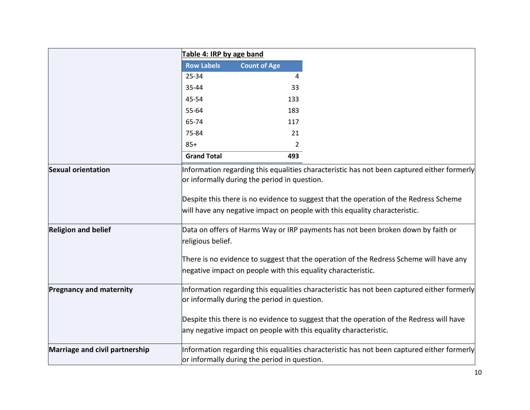|                                | Table 4: IRP by age band |                                                                                                                                                                                                                                     |
|--------------------------------|--------------------------|-------------------------------------------------------------------------------------------------------------------------------------------------------------------------------------------------------------------------------------|
|                                | <b>Row Labels</b>        | <b>Count of Age</b>                                                                                                                                                                                                                 |
|                                | 25-34                    | 4                                                                                                                                                                                                                                   |
|                                | 35-44                    | 33                                                                                                                                                                                                                                  |
|                                | 45-54                    | 133                                                                                                                                                                                                                                 |
|                                | 55-64                    | 183                                                                                                                                                                                                                                 |
|                                | 65-74                    | 117                                                                                                                                                                                                                                 |
|                                | 75-84                    | 21                                                                                                                                                                                                                                  |
|                                | $85+$                    | $\overline{2}$                                                                                                                                                                                                                      |
|                                | <b>Grand Total</b>       | 493                                                                                                                                                                                                                                 |
| <b>Sexual orientation</b>      |                          | Information regarding this equalities characteristic has not been captured either formerly<br>or informally during the period in question.<br>Despite this there is no evidence to suggest that the operation of the Redress Scheme |
|                                |                          | will have any negative impact on people with this equality characteristic.                                                                                                                                                          |
| <b>Religion and belief</b>     | religious belief.        | Data on offers of Harms Way or IRP payments has not been broken down by faith or                                                                                                                                                    |
|                                |                          | There is no evidence to suggest that the operation of the Redress Scheme will have any<br>negative impact on people with this equality characteristic.                                                                              |
| <b>Pregnancy and maternity</b> |                          | Information regarding this equalities characteristic has not been captured either formerly<br>or informally during the period in question.                                                                                          |
|                                |                          | Despite this there is no evidence to suggest that the operation of the Redress will have<br>any negative impact on people with this equality characteristic.                                                                        |
| Marriage and civil partnership |                          | Information regarding this equalities characteristic has not been captured either formerly<br>or informally during the period in question.                                                                                          |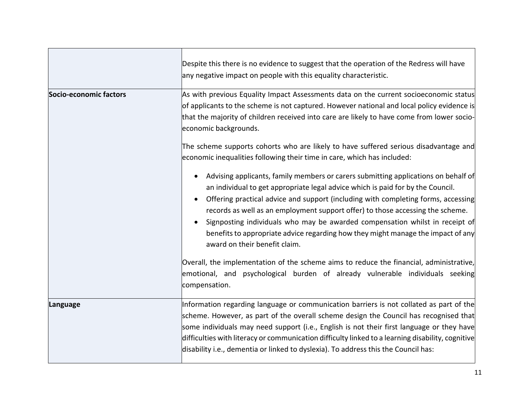|                        | Despite this there is no evidence to suggest that the operation of the Redress will have<br>any negative impact on people with this equality characteristic.                                                                                                                                                                                                                                                                                                                                                                                      |
|------------------------|---------------------------------------------------------------------------------------------------------------------------------------------------------------------------------------------------------------------------------------------------------------------------------------------------------------------------------------------------------------------------------------------------------------------------------------------------------------------------------------------------------------------------------------------------|
| Socio-economic factors | As with previous Equality Impact Assessments data on the current socioeconomic status<br>of applicants to the scheme is not captured. However national and local policy evidence is<br>that the majority of children received into care are likely to have come from lower socio-<br>economic backgrounds.                                                                                                                                                                                                                                        |
|                        | The scheme supports cohorts who are likely to have suffered serious disadvantage and<br>economic inequalities following their time in care, which has included:                                                                                                                                                                                                                                                                                                                                                                                   |
|                        | Advising applicants, family members or carers submitting applications on behalf of<br>an individual to get appropriate legal advice which is paid for by the Council.<br>Offering practical advice and support (including with completing forms, accessing<br>records as well as an employment support offer) to those accessing the scheme.<br>Signposting individuals who may be awarded compensation whilst in receipt of<br>benefits to appropriate advice regarding how they might manage the impact of any<br>award on their benefit claim. |
|                        | Overall, the implementation of the scheme aims to reduce the financial, administrative,<br>emotional, and psychological burden of already vulnerable individuals seeking<br>compensation.                                                                                                                                                                                                                                                                                                                                                         |
| Language               | Information regarding language or communication barriers is not collated as part of the<br>scheme. However, as part of the overall scheme design the Council has recognised that<br>some individuals may need support (i.e., English is not their first language or they have<br>difficulties with literacy or communication difficulty linked to a learning disability, cognitive<br>disability i.e., dementia or linked to dyslexia). To address this the Council has:                                                                          |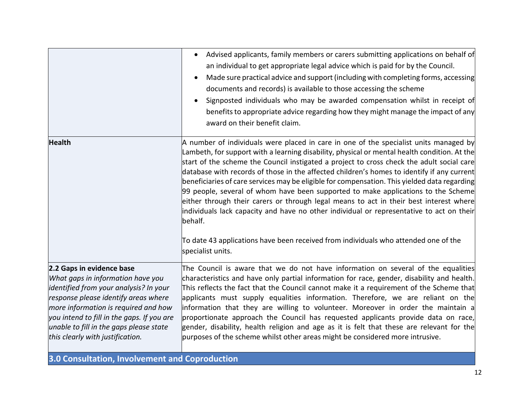|                                                                                                                                                                                                                                                                                                                       | Advised applicants, family members or carers submitting applications on behalf of<br>an individual to get appropriate legal advice which is paid for by the Council.<br>Made sure practical advice and support (including with completing forms, accessing<br>documents and records) is available to those accessing the scheme<br>Signposted individuals who may be awarded compensation whilst in receipt of<br>benefits to appropriate advice regarding how they might manage the impact of any<br>award on their benefit claim.                                                                                                                                                                                                                                    |
|-----------------------------------------------------------------------------------------------------------------------------------------------------------------------------------------------------------------------------------------------------------------------------------------------------------------------|------------------------------------------------------------------------------------------------------------------------------------------------------------------------------------------------------------------------------------------------------------------------------------------------------------------------------------------------------------------------------------------------------------------------------------------------------------------------------------------------------------------------------------------------------------------------------------------------------------------------------------------------------------------------------------------------------------------------------------------------------------------------|
| <b>Health</b>                                                                                                                                                                                                                                                                                                         | A number of individuals were placed in care in one of the specialist units managed by<br>Lambeth, for support with a learning disability, physical or mental health condition. At the<br>start of the scheme the Council instigated a project to cross check the adult social care<br>database with records of those in the affected children's homes to identify if any current<br>beneficiaries of care services may be eligible for compensation. This yielded data regarding<br>99 people, several of whom have been supported to make applications to the Scheme<br>either through their carers or through legal means to act in their best interest where<br>individuals lack capacity and have no other individual or representative to act on their<br>behalf. |
|                                                                                                                                                                                                                                                                                                                       | To date 43 applications have been received from individuals who attended one of the<br>specialist units.                                                                                                                                                                                                                                                                                                                                                                                                                                                                                                                                                                                                                                                               |
| 2.2 Gaps in evidence base<br>What gaps in information have you<br>identified from your analysis? In your<br>response please identify areas where<br>more information is required and how<br>you intend to fill in the gaps. If you are<br>unable to fill in the gaps please state<br>this clearly with justification. | The Council is aware that we do not have information on several of the equalities<br>characteristics and have only partial information for race, gender, disability and health.<br>This reflects the fact that the Council cannot make it a requirement of the Scheme that<br>applicants must supply equalities information. Therefore, we are reliant on the<br>information that they are willing to volunteer. Moreover in order the maintain a<br>proportionate approach the Council has requested applicants provide data on race,<br>gender, disability, health religion and age as it is felt that these are relevant for the<br>purposes of the scheme whilst other areas might be considered more intrusive.                                                   |

**3.0 Consultation, Involvement and Coproduction**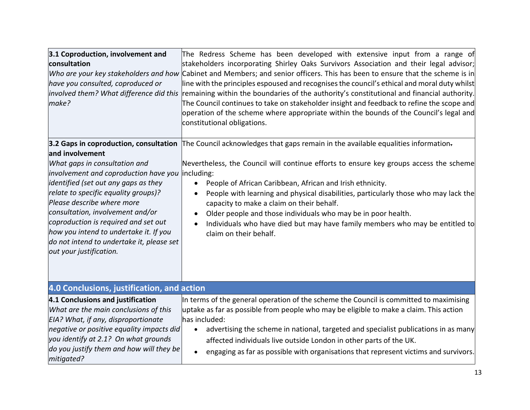| 3.1 Coproduction, involvement and<br>consultation<br>have you consulted, coproduced or<br>involved them? What difference did this<br>make?                                                                                                                                                                                                                                                                                                      | The Redress Scheme has been developed with extensive input from a range of<br>stakeholders incorporating Shirley Oaks Survivors Association and their legal advisor;<br>Who are your key stakeholders and how Cabinet and Members; and senior officers. This has been to ensure that the scheme is in<br>line with the principles espoused and recognises the council's ethical and moral duty whilst<br>remaining within the boundaries of the authority's constitutional and financial authority.<br>The Council continues to take on stakeholder insight and feedback to refine the scope and<br>operation of the scheme where appropriate within the bounds of the Council's legal and<br>constitutional obligations. |
|-------------------------------------------------------------------------------------------------------------------------------------------------------------------------------------------------------------------------------------------------------------------------------------------------------------------------------------------------------------------------------------------------------------------------------------------------|---------------------------------------------------------------------------------------------------------------------------------------------------------------------------------------------------------------------------------------------------------------------------------------------------------------------------------------------------------------------------------------------------------------------------------------------------------------------------------------------------------------------------------------------------------------------------------------------------------------------------------------------------------------------------------------------------------------------------|
| 3.2 Gaps in coproduction, consultation<br>and involvement<br>What gaps in consultation and<br>involvement and coproduction have you<br>identified (set out any gaps as they<br>relate to specific equality groups)?<br>Please describe where more<br>consultation, involvement and/or<br>coproduction is required and set out<br>how you intend to undertake it. If you<br>do not intend to undertake it, please set<br>out your justification. | The Council acknowledges that gaps remain in the available equalities information-<br>Nevertheless, the Council will continue efforts to ensure key groups access the scheme<br>including:<br>People of African Caribbean, African and Irish ethnicity.<br>People with learning and physical disabilities, particularly those who may lack the<br>capacity to make a claim on their behalf.<br>Older people and those individuals who may be in poor health.<br>Individuals who have died but may have family members who may be entitled to<br>claim on their behalf.                                                                                                                                                    |
| 4.0 Conclusions, justification, and action                                                                                                                                                                                                                                                                                                                                                                                                      |                                                                                                                                                                                                                                                                                                                                                                                                                                                                                                                                                                                                                                                                                                                           |
| 4.1 Conclusions and justification<br>What are the main conclusions of this<br>EIA? What, if any, disproportionate<br>negative or positive equality impacts did<br>you identify at 2.1? On what grounds<br>do you justify them and how will they be<br>mitigated?                                                                                                                                                                                | In terms of the general operation of the scheme the Council is committed to maximising<br>uptake as far as possible from people who may be eligible to make a claim. This action<br>has included:<br>advertising the scheme in national, targeted and specialist publications in as many<br>$\bullet$<br>affected individuals live outside London in other parts of the UK.<br>engaging as far as possible with organisations that represent victims and survivors.                                                                                                                                                                                                                                                       |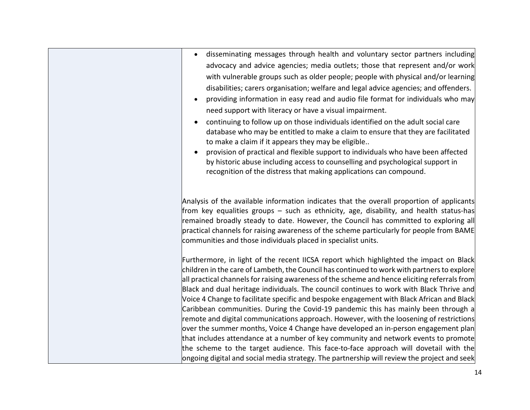| disseminating messages through health and voluntary sector partners including                                                                                                                                                                                                                                                                                                                                                            |
|------------------------------------------------------------------------------------------------------------------------------------------------------------------------------------------------------------------------------------------------------------------------------------------------------------------------------------------------------------------------------------------------------------------------------------------|
| advocacy and advice agencies; media outlets; those that represent and/or work                                                                                                                                                                                                                                                                                                                                                            |
| with vulnerable groups such as older people; people with physical and/or learning                                                                                                                                                                                                                                                                                                                                                        |
| disabilities; carers organisation; welfare and legal advice agencies; and offenders.                                                                                                                                                                                                                                                                                                                                                     |
| providing information in easy read and audio file format for individuals who may                                                                                                                                                                                                                                                                                                                                                         |
| need support with literacy or have a visual impairment.                                                                                                                                                                                                                                                                                                                                                                                  |
| continuing to follow up on those individuals identified on the adult social care<br>database who may be entitled to make a claim to ensure that they are facilitated<br>to make a claim if it appears they may be eligible                                                                                                                                                                                                               |
| provision of practical and flexible support to individuals who have been affected<br>by historic abuse including access to counselling and psychological support in<br>recognition of the distress that making applications can compound.                                                                                                                                                                                                |
|                                                                                                                                                                                                                                                                                                                                                                                                                                          |
| Analysis of the available information indicates that the overall proportion of applicants<br>from key equalities groups – such as ethnicity, age, disability, and health status-has<br>remained broadly steady to date. However, the Council has committed to exploring all<br>practical channels for raising awareness of the scheme particularly for people from BAME<br>communities and those individuals placed in specialist units. |
| Furthermore, in light of the recent IICSA report which highlighted the impact on Black                                                                                                                                                                                                                                                                                                                                                   |
| children in the care of Lambeth, the Council has continued to work with partners to explore                                                                                                                                                                                                                                                                                                                                              |
| $ $ all practical channels for raising awareness of the scheme and hence eliciting referrals from $ $                                                                                                                                                                                                                                                                                                                                    |
| Black and dual heritage individuals. The council continues to work with Black Thrive and                                                                                                                                                                                                                                                                                                                                                 |
| Voice 4 Change to facilitate specific and bespoke engagement with Black African and Black                                                                                                                                                                                                                                                                                                                                                |
| Caribbean communities. During the Covid-19 pandemic this has mainly been through a<br>remote and digital communications approach. However, with the loosening of restrictions                                                                                                                                                                                                                                                            |
| over the summer months, Voice 4 Change have developed an in-person engagement plan                                                                                                                                                                                                                                                                                                                                                       |
| that includes attendance at a number of key community and network events to promote                                                                                                                                                                                                                                                                                                                                                      |
| the scheme to the target audience. This face-to-face approach will dovetail with the                                                                                                                                                                                                                                                                                                                                                     |
| $ $ ongoing digital and social media strategy. The partnership will review the project and seek                                                                                                                                                                                                                                                                                                                                          |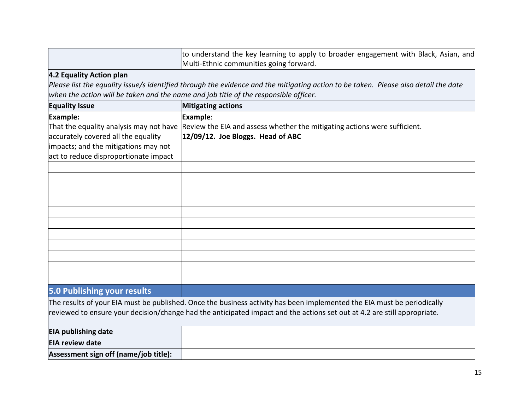to understand the key learning to apply to broader engagement with Black, Asian, and Multi-Ethnic communities going forward.

## **4.2 Equality Action plan**

*Please list the equality issue/s identified through the evidence and the mitigating action to be taken. Please also detail the date when the action will be taken and the name and job title of the responsible officer.* 

| <b>Equality Issue</b>                   | <b>Mitigating actions</b>                                                                                                |
|-----------------------------------------|--------------------------------------------------------------------------------------------------------------------------|
| Example:                                | Example:                                                                                                                 |
| That the equality analysis may not have | Review the EIA and assess whether the mitigating actions were sufficient.                                                |
| accurately covered all the equality     | $12/09/12$ . Joe Bloggs. Head of ABC                                                                                     |
| impacts; and the mitigations may not    |                                                                                                                          |
| act to reduce disproportionate impact   |                                                                                                                          |
|                                         |                                                                                                                          |
|                                         |                                                                                                                          |
|                                         |                                                                                                                          |
|                                         |                                                                                                                          |
|                                         |                                                                                                                          |
|                                         |                                                                                                                          |
|                                         |                                                                                                                          |
|                                         |                                                                                                                          |
|                                         |                                                                                                                          |
|                                         |                                                                                                                          |
|                                         |                                                                                                                          |
| <b>5.0 Publishing your results</b>      |                                                                                                                          |
|                                         | The results of your EIA must be published. Once the business activity has been implemented the EIA must be periodically  |
|                                         | reviewed to ensure your decision/change had the anticipated impact and the actions set out at 4.2 are still appropriate. |
| <b>EIA publishing date</b>              |                                                                                                                          |
| <b>EIA review date</b>                  |                                                                                                                          |

**Assessment sign off (name/job title):**